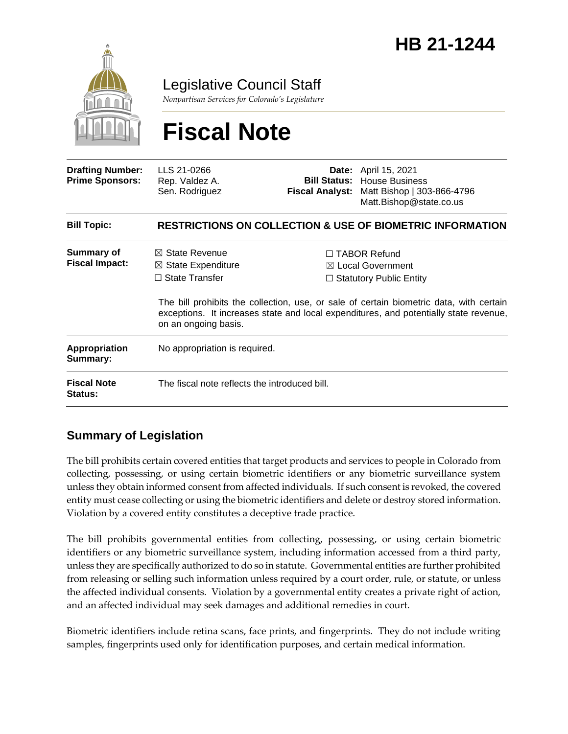

Legislative Council Staff

*Nonpartisan Services for Colorado's Legislature*

# **Fiscal Note**

| <b>Drafting Number:</b><br><b>Prime Sponsors:</b> | LLS 21-0266<br>Rep. Valdez A.<br>Sen. Rodriguez                                                             | <b>Bill Status:</b><br><b>Fiscal Analyst:</b> | <b>Date:</b> April 15, 2021<br><b>House Business</b><br>Matt Bishop   303-866-4796<br>Matt.Bishop@state.co.us                                                                                                                                                             |  |
|---------------------------------------------------|-------------------------------------------------------------------------------------------------------------|-----------------------------------------------|---------------------------------------------------------------------------------------------------------------------------------------------------------------------------------------------------------------------------------------------------------------------------|--|
| <b>Bill Topic:</b>                                | <b>RESTRICTIONS ON COLLECTION &amp; USE OF BIOMETRIC INFORMATION</b>                                        |                                               |                                                                                                                                                                                                                                                                           |  |
| Summary of<br><b>Fiscal Impact:</b>               | $\boxtimes$ State Revenue<br>$\boxtimes$ State Expenditure<br>$\Box$ State Transfer<br>on an ongoing basis. |                                               | $\Box$ TABOR Refund<br>$\boxtimes$ Local Government<br>$\Box$ Statutory Public Entity<br>The bill prohibits the collection, use, or sale of certain biometric data, with certain<br>exceptions. It increases state and local expenditures, and potentially state revenue, |  |
| <b>Appropriation</b><br>Summary:                  | No appropriation is required.                                                                               |                                               |                                                                                                                                                                                                                                                                           |  |
| <b>Fiscal Note</b><br><b>Status:</b>              | The fiscal note reflects the introduced bill.                                                               |                                               |                                                                                                                                                                                                                                                                           |  |

## **Summary of Legislation**

The bill prohibits certain covered entities that target products and services to people in Colorado from collecting, possessing, or using certain biometric identifiers or any biometric surveillance system unless they obtain informed consent from affected individuals. If such consent is revoked, the covered entity must cease collecting or using the biometric identifiers and delete or destroy stored information. Violation by a covered entity constitutes a deceptive trade practice.

The bill prohibits governmental entities from collecting, possessing, or using certain biometric identifiers or any biometric surveillance system, including information accessed from a third party, unless they are specifically authorized to do so in statute. Governmental entities are further prohibited from releasing or selling such information unless required by a court order, rule, or statute, or unless the affected individual consents. Violation by a governmental entity creates a private right of action, and an affected individual may seek damages and additional remedies in court.

Biometric identifiers include retina scans, face prints, and fingerprints. They do not include writing samples, fingerprints used only for identification purposes, and certain medical information.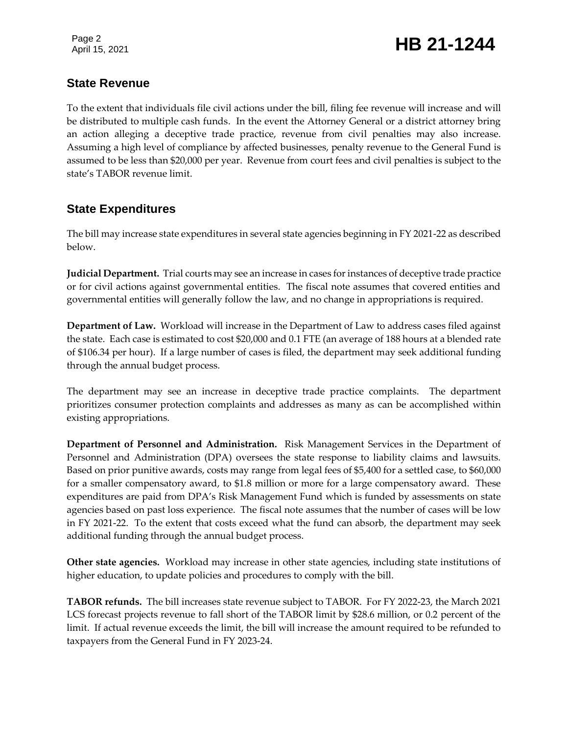Page 2

## **State Revenue**

To the extent that individuals file civil actions under the bill, filing fee revenue will increase and will be distributed to multiple cash funds. In the event the Attorney General or a district attorney bring an action alleging a deceptive trade practice, revenue from civil penalties may also increase. Assuming a high level of compliance by affected businesses, penalty revenue to the General Fund is assumed to be less than \$20,000 per year. Revenue from court fees and civil penalties is subject to the state's TABOR revenue limit.

## **State Expenditures**

The bill may increase state expenditures in several state agencies beginning in FY 2021-22 as described below.

**Judicial Department.** Trial courts may see an increase in cases for instances of deceptive trade practice or for civil actions against governmental entities. The fiscal note assumes that covered entities and governmental entities will generally follow the law, and no change in appropriations is required.

**Department of Law.** Workload will increase in the Department of Law to address cases filed against the state. Each case is estimated to cost \$20,000 and 0.1 FTE (an average of 188 hours at a blended rate of \$106.34 per hour). If a large number of cases is filed, the department may seek additional funding through the annual budget process.

The department may see an increase in deceptive trade practice complaints. The department prioritizes consumer protection complaints and addresses as many as can be accomplished within existing appropriations.

**Department of Personnel and Administration.** Risk Management Services in the Department of Personnel and Administration (DPA) oversees the state response to liability claims and lawsuits. Based on prior punitive awards, costs may range from legal fees of \$5,400 for a settled case, to \$60,000 for a smaller compensatory award, to \$1.8 million or more for a large compensatory award. These expenditures are paid from DPA's Risk Management Fund which is funded by assessments on state agencies based on past loss experience. The fiscal note assumes that the number of cases will be low in FY 2021-22. To the extent that costs exceed what the fund can absorb, the department may seek additional funding through the annual budget process.

**Other state agencies.** Workload may increase in other state agencies, including state institutions of higher education, to update policies and procedures to comply with the bill.

**TABOR refunds.** The bill increases state revenue subject to TABOR. For FY 2022-23, the March 2021 LCS forecast projects revenue to fall short of the TABOR limit by \$28.6 million, or 0.2 percent of the limit. If actual revenue exceeds the limit, the bill will increase the amount required to be refunded to taxpayers from the General Fund in FY 2023-24.